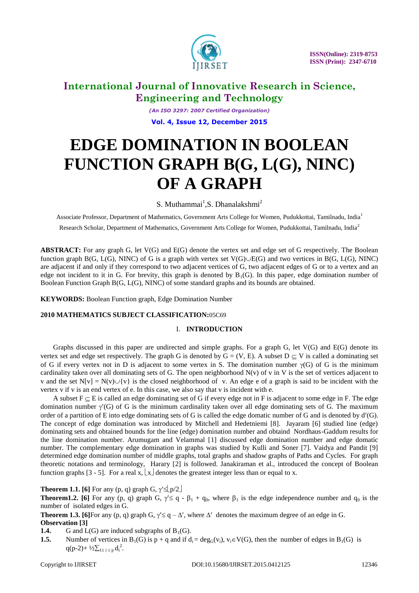

*(An ISO 3297: 2007 Certified Organization)* **Vol. 4, Issue 12, December 2015**

# **EDGE DOMINATION IN BOOLEAN FUNCTION GRAPH B(G, L(G), NINC) OF A GRAPH**

S. Muthammai<sup>1</sup>, S. Dhanalakshmi<sup>2</sup>

Associate Professor, Department of Mathematics, Government Arts College for Women, Pudukkottai, Tamilnadu, India<sup>1</sup> Research Scholar, Department of Mathematics, Government Arts College for Women, Pudukkottai, Tamilnadu, India<sup>2</sup>

**ABSTRACT:** For any graph G, let V(G) and E(G) denote the vertex set and edge set of G respectively. The Boolean function graph B(G, L(G), NINC) of G is a graph with vertex set  $V(G)\cup E(G)$  and two vertices in B(G, L(G), NINC) are adjacent if and only if they correspond to two adjacent vertices of G, two adjacent edges of G or to a vertex and an edge not incident to it in G. For brevity, this graph is denoted by  $B_1(G)$ . In this paper, edge domination number of Boolean Function Graph B(G, L(G), NINC) of some standard graphs and its bounds are obtained.

**KEYWORDS:** Boolean Function graph, Edge Domination Number

#### **2010 MATHEMATICS SUBJECT CLASSIFICATION:**05C69

#### I. **INTRODUCTION**

Graphs discussed in this paper are undirected and simple graphs. For a graph G, let V(G) and E(G) denote its vertex set and edge set respectively. The graph G is denoted by  $G = (V, E)$ . A subset  $D \subseteq V$  is called a dominating set of G if every vertex not in D is adjacent to some vertex in S. The domination number  $\gamma(G)$  of G is the minimum cardinality taken over all dominating sets of G. The open neighborhood N(v) of v in V is the set of vertices adjacent to v and the set  $N[v] = N(v) \cup \{v\}$  is the closed neighborhood of v. An edge e of a graph is said to be incident with the vertex v if v is an end vertex of e. In this case, we also say that v is incident with e.

A subset  $F \subseteq E$  is called an edge dominating set of G if every edge not in F is adjacent to some edge in F. The edge domination number  $\gamma'(G)$  of G is the minimum cardinality taken over all edge dominating sets of G. The maximum order of a partition of E into edge dominating sets of G is called the edge domatic number of G and is denoted by  $d'(G)$ . The concept of edge domination was introduced by Mitchell and Hedetniemi [8]. Jayaram [6] studied line (edge) dominating sets and obtained bounds for the line (edge) domination number and obtaind Nordhaus-Gaddum results for the line domination number. Arumugam and Velammal [1] discussed edge domination number and edge domatic number. The complementary edge domination in graphs was studied by Kulli and Soner [7]. Vaidya and Pandit [9] determined edge domination number of middle graphs, total graphs and shadow graphs of Paths and Cycles. For graph theoretic notations and terminology, Harary [2] is followed. Janakiraman et al., introduced the concept of Boolean function graphs [3 - 5]. For a real x,  $\lfloor x \rfloor$  denotes the greatest integer less than or equal to x.

**Theorem 1.1. [6]** For any (p, q) graph G,  $\gamma' \leq p/2$ 

**Theorem1.2.** [6] For any (p, q) graph G,  $\gamma \leq q - \beta_1 + q_0$ , where  $\beta_1$  is the edge independence number and  $q_0$  is the number of isolated edges in G.

**Theorem 1.3. [6]**For any (p, q) graph G,  $\gamma \leq q - \Delta'$ , where  $\Delta'$  denotes the maximum degree of an edge in G. **Observation [3]**

- **1.4.** G and  $L(G)$  are induced subgraphs of  $B_1(G)$ .
- **1.5.** Number of vertices in B<sub>1</sub>(G) is p + q and if  $d_i = deg_G(v_i)$ ,  $v_i \in V(G)$ , then the number of edges in B<sub>1</sub>(G) is  $q(p-2)+\frac{1}{2}\sum_{1\leq i\leq p}d_i^2$ .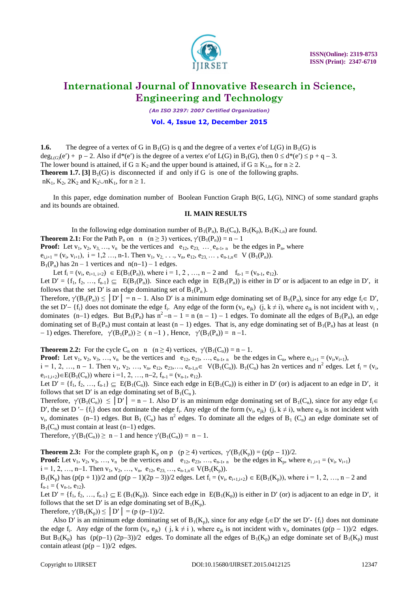

*(An ISO 3297: 2007 Certified Organization)*

#### **Vol. 4, Issue 12, December 2015**

**1.6.** The degree of a vertex of G in  $B_1(G)$  is q and the degree of a vertex e'of  $L(G)$  in  $B_1(G)$  is  $deg_{L(G)}(e') + p - 2$ . Also if  $d^*(e')$  is the degree of a vertex e' of  $L(G)$  in  $B_1(G)$ , then  $0 \le d^*(e') \le p + q - 3$ . The lower bound is attained, if  $G \cong K_2$  and the upper bound is attained, if  $G \cong K_{1,n}$ , for  $n \ge 2$ . **Theorem 1.7.** [3]  $B_1(G)$  is disconnected if and only if G is one of the following graphs.  $nK_1$ ,  $K_2$ ,  $2K_2$  and  $K_2\cup nK_1$ , for  $n \ge 1$ .

In this paper, edge domination number of Boolean Function Graph B(G, L(G), NINC) of some standard graphs and its bounds are obtained.

### **II. MAIN RESULTS**

In the following edge domination number of  $B_1(P_n)$ ,  $B_1(C_n)$ ,  $B_1(K_p)$ ,  $B_1(K_{1,n})$  are found. **Theorem 2.1:** For the Path P<sub>n</sub> on n  $(n \ge 3)$  vertices,  $\gamma'(B_1(P_n)) = n - 1$ **Proof:** Let  $v_1, v_2, v_3, \ldots, v_n$  be the vertices and  $e_{12}, e_{23}, \ldots, e_{n-1}, e_n$  be the edges in  $P_n$ , where  $e_{i,i+1} = (v_i, v_{i+1}), i = 1,2, ..., n-1$ . Then  $v_1, v_2, ..., v_n, e_{12}, e_{23}, ..., e_{n-1,n} \in V(B_1(P_n))$ .  $B_1(P_n)$  has  $2n - 1$  vertices and  $n(n-1) - 1$  edges.

Let  $f_i = (v_i, e_{i+1, i+2}) \in E(B_1(P_n))$ , where  $i = 1, 2, ..., n-2$  and  $f_{n-1} = (v_{n-1}, e_{12})$ . Let  $D' = \{f_1, f_2, ..., f_{n-1}\} \subseteq E(B_1(P_n))$ . Since each edge in  $E(B_1(P_n))$  is either in D' or is adjacent to an edge in D', it follows that the set D' is an edge dominating set of  $B_1(P_n)$ .

Therefore,  $\gamma'(B_1(P_n)) \le |D'| = n - 1$ . Also D' is a minimum edge dominating set of  $B_1(P_n)$ , since for any edge  $f_i \in D'$ , the set D' –  $\{f_i\}$  does not dominate the edge  $f_i$ . Any edge of the form  $(v_i, e_{jk})$   $(j, k \neq i)$ , where  $e_{jk}$  is not incident with  $v_i$ , dominates  $(n-1)$  edges. But  $B_1(P_n)$  has  $n^2 - n - 1 = n(n - 1) - 1$  edges. To dominate all the edges of  $B_1(P_n)$ , an edge dominating set of  $B_1(P_n)$  must contain at least  $(n - 1)$  edges. That is, any edge dominating set of  $B_1(P_n)$  has at least (n  $-1$ ) edges. Therefore,  $\gamma'(B_1(P_n)) \ge (n-1)$ , Hence,  $\gamma'(B_1(P_n)) = n-1$ .

**Theorem 2.2:** For the cycle C<sub>n</sub> on n (n  $\geq$  4) vertices,  $\gamma'(B_1(C_n)) = n - 1$ . **Proof:** Let  $v_1, v_2, v_3, \ldots, v_n$  be the vertices and  $e_{12}, e_{23}, \ldots, e_{n-1}, e_n$  be the edges in  $C_n$ , where  $e_{i,i+1} = (v_i, v_{i+1}),$ 

 $i = 1, 2, ..., n - 1$ . Then  $v_1, v_2, ..., v_n, e_{12}, e_{23},..., e_{n-1,n} \in V(B_1(C_n))$ .  $B_1(C_n)$  has 2n vertices and  $n^2$  edges. Let  $f_i = (v_i, e_{i-1}, \ldots, e_{n-1,n})$  $e_{i+1,i+2}$ ) $\in E(B_1(C_n))$  where  $i = 1, 2, ..., n-2$ ,  $f_{n-1} = (v_{n-1}, e_{12})$ .

Let  $D' = \{f_1, f_2, ..., f_{n-1}\} \subseteq E(B_1(C_n))$ . Since each edge in  $E(B_1(C_n))$  is either in D' (or) is adjacent to an edge in D', it follows that set D' is an edge dominating set of  $B_1(C_n)$ .

Therefore,  $\gamma'(B_1(C_n)) \le |D'| = n - 1$ . Also D' is an minimum edge dominating set of  $B_1(C_n)$ , since for any edge  $f_i \in$ D', the set D'-  $\{f_i\}$  does not dominate the edge  $f_i$ . Any edge of the form  $(v_i, e_{jk})$   $(j, k \neq i)$ , where  $e_{jk}$  is not incident with  $v_i$ , dominates (n-1) edges. But B<sub>1</sub> (C<sub>n</sub>) has n<sup>2</sup> edges. To dominate all the edges of B<sub>1</sub> (C<sub>n</sub>) an edge dominate set of  $B_1(C_n)$  must contain at least (n-1) edges.

Therefore,  $\gamma'(B_1(C_n)) \ge n - 1$  and hence  $\gamma'(B_1(C_n)) = n - 1$ .

**Theorem 2.3:** For the complete graph  $K_p$  on p ( $p \ge 4$ ) vertices,  $\gamma'(B_1(K_p)) = (p(p-1))/2$ . **Proof:** Let  $v_1, v_2, v_3, \ldots, v_n$  be the vertices and  $e_{12}, e_{23}, \ldots, e_{n-1}, e_n$  be the edges in  $K_p$ , where  $e_{i,i+1} = (v_i, v_{i+1})$  $i = 1, 2, ..., n-1$ . Then  $v_1, v_2, ..., v_n, e_{12}, e_{23}, ..., e_{n-1,n} \in V(B_1(K_p)).$  $B_1(K_p)$  has  $(p(p + 1))/2$  and  $(p(p - 1)(2p - 3))/2$  edges. Let  $f_i = (v_i, e_{i+1,i+2}) \in E(B_1(K_p))$ , where  $i = 1, 2, ..., n - 2$  and  $f_{n-1} = (v_{n-1}, e_{12}).$ 

Let  $D' = \{f_1, f_2, ..., f_{n-1}\} \subseteq E(B_1(K_p))$ . Since each edge in  $E(B_1(K_p))$  is either in D' (or) is adjacent to an edge in D', it follows that the set D' is an edge dominating set of  $B_1(K_n)$ .

Therefore,  $\gamma'(B_1(K_p)) \leq |D'| = (p (p-1))/2$ .

Also D' is an minimum edge dominating set of  $B_1(K_n)$ , since for any edge  $f_i \in D'$  the set D'-  $\{f_i\}$  does not dominate the edge  $f_i$ . Any edge of the form  $(v_i, e_{jk})$  (j,  $k \neq i$ ), where  $e_{jk}$  is not incident with  $v_i$ , dominates  $(p(p-1))/2$  edges. But  $B_1(K_n)$  has  $(p(p-1) (2p-3))/2$  edges. To dominate all the edges of  $B_1(K_n)$  an edge dominate set of  $B_1(K_n)$  must contain at least  $(p(p - 1))/2$  edges.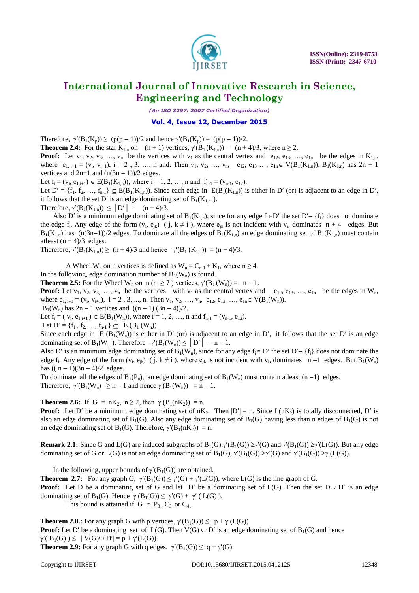

*(An ISO 3297: 2007 Certified Organization)*

#### **Vol. 4, Issue 12, December 2015**

Therefore,  $\gamma'(B_1(K_p)) \ge (p(p-1))/2$  and hence  $\gamma'(B_1(K_p)) = (p(p-1))/2$ .

**Theorem 2.4:** For the star K<sub>1,n</sub> on  $(n + 1)$  vertices,  $\gamma'(B_1(K_{1,n})) = (n + 4)/3$ , where  $n \ge 2$ .

**Proof:** Let  $v_1, v_2, v_3, \ldots, v_n$  be the vertices with  $v_1$  as the central vertex and  $e_{12}, e_{13}, \ldots, e_{1n}$  be the edges in  $K_{1,n}$ , where  $e_{1, i+1} = (v_i, v_{i+1}), i = 2, 3, ..., n$  and. Then  $v_1, v_2, ..., v_n$ ,  $e_{12}, e_{13}, ..., e_{1n} \in V(B_1(K_{1,n}))$ .  $B_1(K_{1,n})$  has  $2n + 1$ vertices and  $2n+1$  and  $(n(3n - 1))/2$  edges.

Let  $f_i = (v_i, e_{1,i+1}) \in E(B_1(K_{1,n}))$ , where  $i = 1, 2, ..., n$  and  $f_{n-1} = (v_{n-1}, e_{12})$ .

Let  $D' = \{f_1, f_2, ..., f_{n-1}\} \subseteq E(B_1(K_{1,n}))$ . Since each edge in  $E(B_1(K_{1,n}))$  is either in D' (or) is adjacent to an edge in D', it follows that the set D' is an edge dominating set of  $B_1(K_{1,n})$ .

Therefore,  $\gamma'(B_1(K_{1,n})) \leq |D'| = (n+4)/3$ .

Also D' is a minimum edge dominating set of  $B_1(K_{1,n})$ , since for any edge  $f_i \in D'$  the set  $D' - \{f_i\}$  does not dominate the edge  $f_i$ . Any edge of the form  $(v_i, e_{jk})$  (j,  $k \neq i$ ), where  $e_{jk}$  is not incident with  $v_i$ , dominates  $n + 4$  edges. But  $B_1(K_{1,n})$  has  $(n(3n-1))/2$  edges. To dominate all the edges of  $B_1(K_{1,n})$  an edge dominating set of  $B_1(K_{1,n})$  must contain atleast  $(n + 4)/3$  edges.

Therefore,  $\gamma'(B_1(K_{1,n})) \ge (n + 4)/3$  and hence  $\gamma'(B_1 (K_{1,n})) = (n + 4)/3$ .

A Wheel W<sub>n</sub> on n vertices is defined as  $W_n = C_{n-1} + K_1$ , where  $n \ge 4$ .

In the following, edge domination number of  $B_1(W_n)$  is found.

**Theorem 2.5:** For the Wheel W<sub>n</sub> on n (n  $\geq$  7) vertices,  $\gamma'(B_1(W_n)) = n - 1$ .

**Proof:** Let  $v_1, v_2, v_3, \ldots, v_n$  be the vertices with  $v_1$  as the central vertex and  $e_{12}, e_{13}, \ldots, e_{1n}$  be the edges in  $W_n$ , where  $e_{1, i+1} = (v_i, v_{i+1}), i = 2, 3, ..., n$ . Then  $v_1, v_2, ..., v_n, e_{12}, e_{13}, ..., e_{1n} \in V(B_1(W_n)).$ 

 $B_1(W_n)$  has  $2n - 1$  vertices and  $((n - 1) (3n - 4))/2$ .

Let  $f_i = (v_i, e_{1,i+1}) \in E(B_1(W_n))$ , where  $i = 1, 2, ..., n$  and  $f_{n-1} = (v_{n-1}, e_{12})$ .

Let  $D' = \{f_1, f_2, ..., f_{n-1}\} \subseteq E(B_1(W_n))$ 

Since each edge in E ( $B_1(W_n)$ ) is either in D' (or) is adjacent to an edge in D', it follows that the set D' is an edge dominating set of  $B_1(W_n)$ . Therefore  $\gamma'(B_1(W_n)) \le |D'| = n - 1$ .

Also D' is an minimum edge dominating set of B<sub>1</sub>(W<sub>n</sub>), since for any edge  $f_i \in D'$  the set  $D' - \{f_i\}$  does not dominate the edge  $f_i$ . Any edge of the form  $(v_i, e_{jk})$  (j,  $k \neq i$ ), where  $e_{jk}$  is not incident with  $v_i$ , dominates  $n-1$  edges. But  $B_1(W_n)$ has  $((n-1)(3n-4)/2$  edges.

To dominate all the edges of  $B_1(P_n)$ , an edge dominating set of  $B_1(W_n)$  must contain at least  $(n-1)$  edges. Therefore,  $\gamma'(B_1(W_n) \ge n - 1$  and hence  $\gamma'(B_1(W_n)) = n - 1$ .

**Theorem 2.6:** If G  $\cong$  nK<sub>2</sub>, n  $\geq$  2, then  $\gamma'(B_1(nK_2)) = n$ .

**Proof:** Let D' be a minimum edge dominating set of  $nK_2$ . Then  $|D'| = n$ . Since  $L(nK_2)$  is totally disconnected, D' is also an edge dominating set of  $B_1(G)$ . Also any edge dominating set of  $B_1(G)$  having less than n edges of  $B_1(G)$  is not an edge dominating set of B<sub>1</sub>(G). Therefore,  $\gamma'(B_1(nK_2)) = n$ .

**Remark 2.1:** Since G and L(G) are induced subgraphs of  $B_1(G)$ , $\gamma'(B_1(G)) \geq \gamma'(G)$  and  $\gamma'(B_1(G)) \geq \gamma'(L(G))$ . But any edge dominating set of G or L(G) is not an edge dominating set of  $B_1(G)$ ,  $\gamma'(B_1(G)) > \gamma'(G)$  and  $\gamma'(B_1(G)) > \gamma'(L(G))$ .

In the following, upper bounds of  $\gamma'(B_1(G))$  are obtained.

**Theorem 2.7:** For any graph G,  $\gamma'(B_1(G)) \leq \gamma'(G) + \gamma'(L(G))$ , where L(G) is the line graph of G.

**Proof:** Let D be a dominating set of G and let D' be a dominating set of  $L(G)$ . Then the set  $D \cup D'$  is an edge dominating set of  $B_1(G)$ . Hence  $\gamma'(B_1(G)) \leq \gamma'(G) + \gamma'(L(G))$ .

This bound is attained if  $G \cong P_3, C_3$  or  $C_4$ .

**Theorem 2.8.:** For any graph G with p vertices,  $\gamma'(B_1(G)) \leq p + \gamma'(L(G))$ **Proof:** Let D' be a dominating set of  $L(G)$ . Then  $V(G) \cup D'$  is an edge dominating set of  $B_1(G)$  and hence  $\gamma'(\ B_1(G)) \leq |V(G) \cup D'| = p + \gamma'(L(G)).$ **Theorem 2.9:** For any graph G with q edges,  $\gamma'(B_1(G)) \leq q + \gamma'(G)$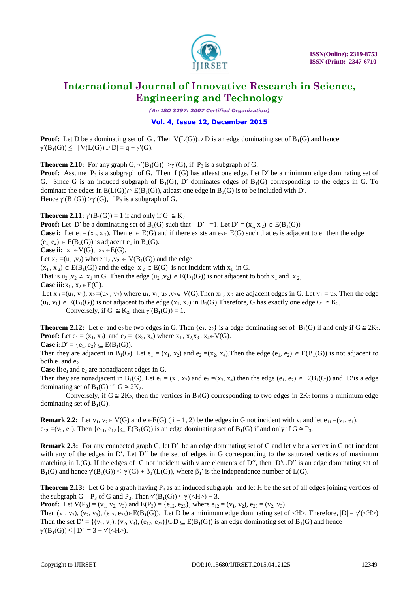

*(An ISO 3297: 2007 Certified Organization)*

### **Vol. 4, Issue 12, December 2015**

**Proof:** Let D be a dominating set of G. Then  $V(L(G)) \cup D$  is an edge dominating set of  $B_1(G)$  and hence  $\gamma'(B_1(G)) \leq |V(L(G)) \cup D| = q + \gamma'(G).$ 

**Theorem 2.10:** For any graph G,  $\gamma'(B_1(G)) > \gamma'(G)$ , if  $P_3$  is a subgraph of G.

**Proof:** Assume P<sub>3</sub> is a subgraph of G. Then L(G) has atleast one edge. Let D' be a minimum edge dominating set of G. Since G is an induced subgraph of  $B_1(G)$ , D' dominates edges of  $B_1(G)$  corresponding to the edges in G. To dominate the edges in  $E(L(G)) \cap E(B_1(G))$ , atleast one edge in  $B_1(G)$  is to be included with D'. Hence  $\gamma'(B_1(G)) > \gamma'(G)$ , if P<sub>3</sub> is a subgraph of G.

**Theorem 2.11:**  $\gamma'(\text{B}_1(G)) = 1$  if and only if  $G \cong \text{K}_2$ 

**Proof:** Let D' be a dominating set of B<sub>1</sub>(G) such that  $|D'|=1$ . Let  $D' = (x_1, x_2) \in E(B_1(G))$ 

**Case i:** Let  $e_1 = (x_1, x_2)$ . Then  $e_1 \in E(G)$  and if there exists an  $e_2 \in E(G)$  such that  $e_2$  is adjacent to  $e_1$  then the edge  $(e_1, e_2) \in E(B_1(G))$  is adjacent  $e_1$  in  $B_1(G)$ .

**Case ii:**  $x_1 \in V(G)$ ,  $x_2 \in E(G)$ .

Let  $x_2=(u_2, v_2)$  where  $u_2, v_2 \in V(B_1(G))$  and the edge

 $(x_1, x_2) \in E(B_1(G))$  and the edge  $x_2 \in E(G)$  is not incident with  $x_1$  in G.

That is  $u_2, v_2 \neq x_1$  in G. Then the edge  $(u_2, v_2) \in E(B_1(G))$  is not adjacent to both  $x_1$  and  $x_2$ .

**Case iii:** $x_1, x_2 \in E(G)$ .

Let  $x_1 = (u_1, v_1)$ ,  $x_2 = (u_2, v_2)$  where  $u_1, v_1, u_2, v_2 \in V(G)$ . Then  $x_1, x_2$  are adjacent edges in G. Let  $v_1 = u_2$ . Then the edge  $(u_1, v_1) \in E(B_1(G))$  is not adjacent to the edge  $(x_1, x_2)$  in  $B_1(G)$ . Therefore, G has exactly one edge  $G \cong K_2$ . Conversely, if  $G \cong K_2$ , then  $\gamma'(B_1(G)) = 1$ .

**Theorem 2.12:** Let  $e_1$  and  $e_2$  be two edges in G. Then  $\{e_1, e_2\}$  is a edge dominating set of  $B_1(G)$  if and only if  $G \cong 2K_2$ . **Proof:** Let  $e_1 = (x_1, x_2)$  and  $e_2 = (x_3, x_4)$  where  $x_1, x_2, x_3, x_4 \in V(G)$ .

**Case i:**  $D' = \{e_1, e_2\} \subseteq E(B_1(G)).$ 

Then they are adjacent in B<sub>1</sub>(G). Let  $e_1 = (x_1, x_2)$  and  $e_2 = (x_2, x_4)$ . Then the edge  $(e_1, e_2) \in E(B_1(G))$  is not adjacent to both  $e_1$  and  $e_2$ .

**Case ii:** $e_1$  and  $e_2$  are nonadjacent edges in G.

Then they are nonadjacent in B<sub>1</sub>(G). Let  $e_1 = (x_1, x_2)$  and  $e_2 = (x_3, x_4)$  then the edge  $(e_1, e_2) \in E(B_1(G))$  and D'is a edge dominating set of  $B_1(G)$  if  $G \cong 2K_2$ .

Conversely, if  $G \cong 2K_2$ , then the vertices in B<sub>1</sub>(G) corresponding to two edges in  $2K_2$  forms a minimum edge dominating set of  $B_1(G)$ .

**Remark 2.2:** Let  $v_1, v_2 \in V(G)$  and  $e_i \in E(G)$  ( $i = 1, 2$ ) be the edges in G not incident with  $v_i$  and let  $e_{11} = (v_1, e_1)$ ,  $e_{12} = (v_2, e_2)$ . Then  $\{e_{11}, e_{12}\} \subseteq E(B_1(G))$  is an edge dominating set of  $B_1(G)$  if and only if  $G \cong P_3$ .

**Remark 2.3:** For any connected graph G, let D' be an edge dominating set of G and let v be a vertex in G not incident with any of the edges in  $D'$ . Let  $D''$  be the set of edges in G corresponding to the saturated vertices of maximum matching in  $L(G)$ . If the edges of G not incident with v are elements of D'', then  $D' \cup D''$  is an edge dominating set of  $B_1(G)$  and hence  $\gamma'(B_1(G)) \leq \gamma'(G) + \beta_1'(L(G))$ , where  $\beta_1'$  is the independence number of  $L(G)$ .

**Theorem 2.13:** Let G be a graph having  $P_3$  as an induced subgraph and let H be the set of all edges joining vertices of the subgraph G – P<sub>3</sub> of G and P<sub>3</sub>. Then  $\gamma'(B_1(G)) \leq \gamma'(\langle H \rangle) + 3$ .

**Proof:** Let  $V(P_3) = (v_1, v_2, v_3)$  and  $E(P_3) = \{e_{12}, e_{23}\}$ , where  $e_{12} = (v_1, v_2), e_{23} = (v_2, v_3)$ .

Then  $(v_1, v_2)$ ,  $(v_2, v_3)$ ,  $(e_{12}, e_{23}) \in E(B_1(G))$ . Let D be a minimum edge dominating set of <H>. Therefore,  $|D| = \gamma'(<\!\mathrm{H}\!\!>)$ Then the set  $D' = \{(v_1, v_2), (v_2, v_3), (e_{12}, e_{23})\} \cup D \subset E(B_1(G))$  is an edge dominating set of  $B_1(G)$  and hence  $\gamma'(B_1(G)) \le |D'| = 3 + \gamma'(\langle H \rangle).$